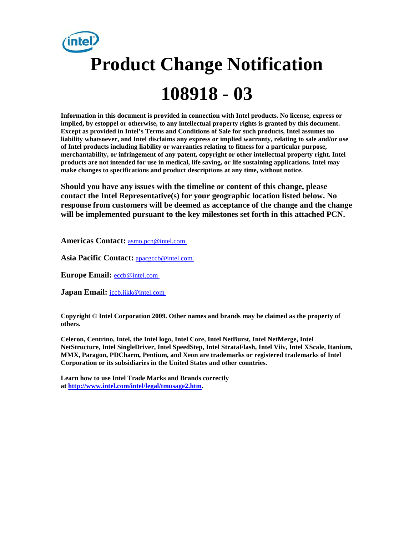# **Product Change Notification 108918 - 03**

**Information in this document is provided in connection with Intel products. No license, express or implied, by estoppel or otherwise, to any intellectual property rights is granted by this document. Except as provided in Intel's Terms and Conditions of Sale for such products, Intel assumes no liability whatsoever, and Intel disclaims any express or implied warranty, relating to sale and/or use of Intel products including liability or warranties relating to fitness for a particular purpose, merchantability, or infringement of any patent, copyright or other intellectual property right. Intel products are not intended for use in medical, life saving, or life sustaining applications. Intel may make changes to specifications and product descriptions at any time, without notice.**

**Should you have any issues with the timeline or content of this change, please contact the Intel Representative(s) for your geographic location listed below. No response from customers will be deemed as acceptance of the change and the change will be implemented pursuant to the key milestones set forth in this attached PCN.** 

**Americas Contact:** [asmo.pcn@intel.com](mailto:asmo.pcn@intel.com) 

**Asia Pacific Contact:** [apacgccb@intel.com](mailto:apacgccb@intel.com) 

Europe Email: **eccb@intel.com** 

**Japan Email:** *jccb.ijkk@intel.com* 

**Copyright © Intel Corporation 2009. Other names and brands may be claimed as the property of others.**

**Celeron, Centrino, Intel, the Intel logo, Intel Core, Intel NetBurst, Intel NetMerge, Intel NetStructure, Intel SingleDriver, Intel SpeedStep, Intel StrataFlash, Intel Viiv, Intel XScale, Itanium, MMX, Paragon, PDCharm, Pentium, and Xeon are trademarks or registered trademarks of Intel Corporation or its subsidiaries in the United States and other countries.**

**Learn how to use Intel Trade Marks and Brands correctly at [http://www.intel.com/intel/legal/tmusage2.htm.](http://www.intel.com/intel/legal/tmusage2.htm)**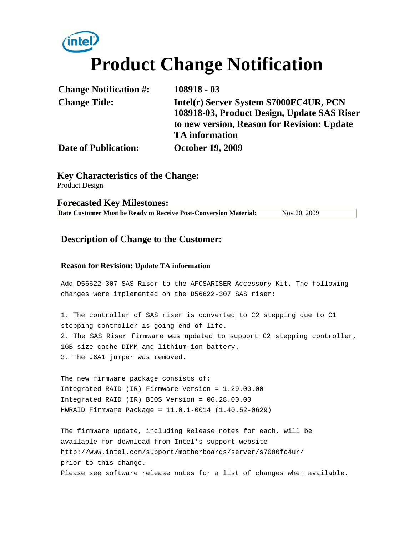# **Product Change Notification**

| <b>Change Notification #:</b> | $108918 - 03$                                                                                                                                                 |
|-------------------------------|---------------------------------------------------------------------------------------------------------------------------------------------------------------|
| <b>Change Title:</b>          | Intel(r) Server System S7000FC4UR, PCN<br>108918-03, Product Design, Update SAS Riser<br>to new version, Reason for Revision: Update<br><b>TA</b> information |
| <b>Date of Publication:</b>   | <b>October 19, 2009</b>                                                                                                                                       |

**Key Characteristics of the Change:** Product Design

**Forecasted Key Milestones:** 

**Date Customer Must be Ready to Receive Post-Conversion Material:** Nov 20, 2009

#### **Description of Change to the Customer:**

#### **Reason for Revision: Update TA information**

Add D56622-307 SAS Riser to the AFCSARISER Accessory Kit. The following changes were implemented on the D56622-307 SAS riser:

1. The controller of SAS riser is converted to C2 stepping due to C1 stepping controller is going end of life. 2. The SAS Riser firmware was updated to support C2 stepping controller, 1GB size cache DIMM and lithium-ion battery. 3. The J6A1 jumper was removed.

The new firmware package consists of: Integrated RAID (IR) Firmware Version = 1.29.00.00 Integrated RAID (IR) BIOS Version = 06.28.00.00 HWRAID Firmware Package = 11.0.1-0014 (1.40.52-0629)

The firmware update, including Release notes for each, will be available for download from Intel's support website http://www.intel.com/support/motherboards/server/s7000fc4ur/ prior to this change. Please see software release notes for a list of changes when available.